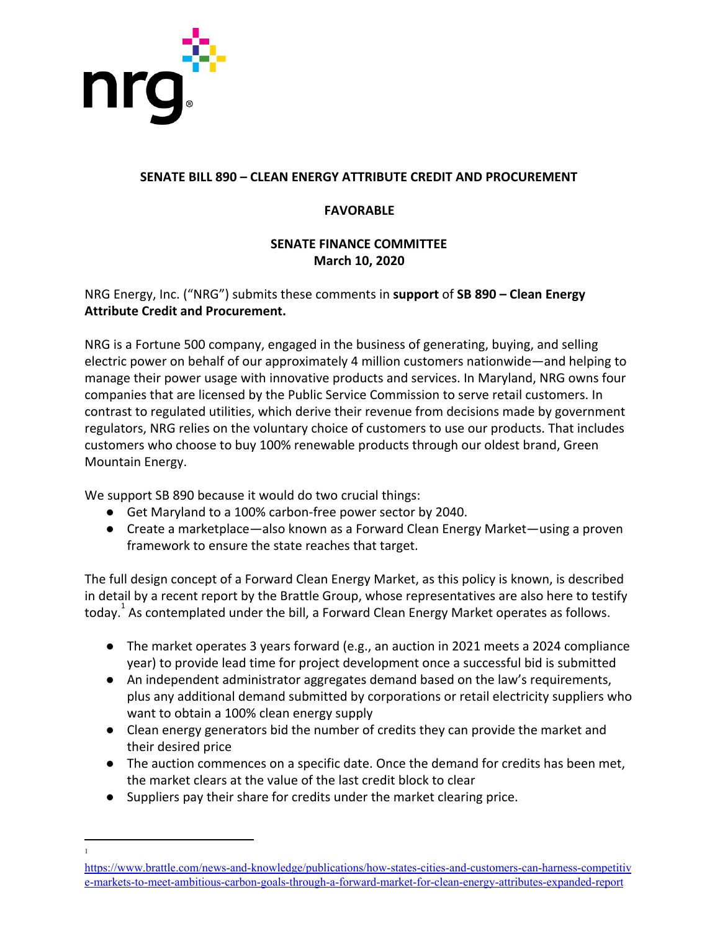

1

## **SENATE BILL 890 – CLEAN ENERGY ATTRIBUTE CREDIT AND PROCUREMENT**

## **FAVORABLE**

### **SENATE FINANCE COMMITTEE March 10, 2020**

# NRG Energy, Inc. ("NRG") submits these comments in **support** of **SB 890 – Clean Energy Attribute Credit and Procurement.**

NRG is a Fortune 500 company, engaged in the business of generating, buying, and selling electric power on behalf of our approximately 4 million customers nationwide—and helping to manage their power usage with innovative products and services. In Maryland, NRG owns four companies that are licensed by the Public Service Commission to serve retail customers. In contrast to regulated utilities, which derive their revenue from decisions made by government regulators, NRG relies on the voluntary choice of customers to use our products. That includes customers who choose to buy 100% renewable products through our oldest brand, Green Mountain Energy.

We support SB 890 because it would do two crucial things:

- Get Maryland to a 100% carbon-free power sector by 2040.
- Create a marketplace—also known as a Forward Clean Energy Market—using a proven framework to ensure the state reaches that target.

The full design concept of a Forward Clean Energy Market, as this policy is known, is described in detail by a recent report by the Brattle Group, whose representatives are also here to testify today. As contemplated under the bill, a Forward Clean Energy Market operates as follows.

- The market operates 3 years forward (e.g., an auction in 2021 meets a 2024 compliance year) to provide lead time for project development once a successful bid is submitted
- An independent administrator aggregates demand based on the law's requirements, plus any additional demand submitted by corporations or retail electricity suppliers who want to obtain a 100% clean energy supply
- Clean energy generators bid the number of credits they can provide the market and their desired price
- The auction commences on a specific date. Once the demand for credits has been met, the market clears at the value of the last credit block to clear
- Suppliers pay their share for credits under the market clearing price.

[https://www.brattle.com/news-and-knowledge/publications/how-states-cities-and-customers-can-harness-competitiv](https://www.brattle.com/news-and-knowledge/publications/how-states-cities-and-customers-can-harness-competitive-markets-to-meet-ambitious-carbon-goals-through-a-forward-market-for-clean-energy-attributes-expanded-report) [e-markets-to-meet-ambitious-carbon-goals-through-a-forward-market-for-clean-energy-attributes-expanded-report](https://www.brattle.com/news-and-knowledge/publications/how-states-cities-and-customers-can-harness-competitive-markets-to-meet-ambitious-carbon-goals-through-a-forward-market-for-clean-energy-attributes-expanded-report)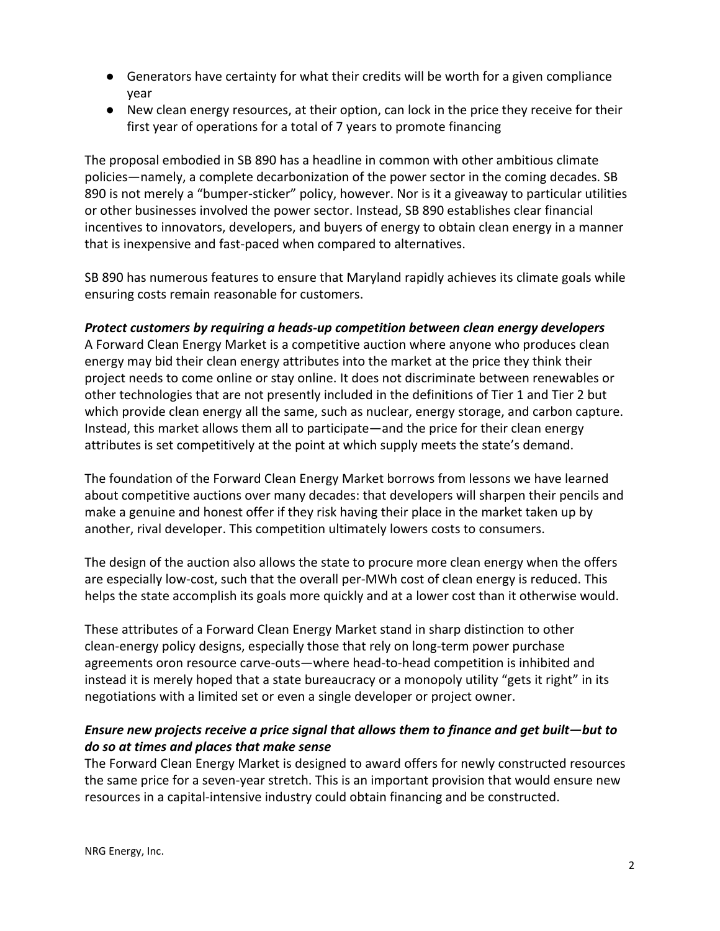- Generators have certainty for what their credits will be worth for a given compliance year
- New clean energy resources, at their option, can lock in the price they receive for their first year of operations for a total of 7 years to promote financing

The proposal embodied in SB 890 has a headline in common with other ambitious climate policies—namely, a complete decarbonization of the power sector in the coming decades. SB 890 is not merely a "bumper-sticker" policy, however. Nor is it a giveaway to particular utilities or other businesses involved the power sector. Instead, SB 890 establishes clear financial incentives to innovators, developers, and buyers of energy to obtain clean energy in a manner that is inexpensive and fast-paced when compared to alternatives.

SB 890 has numerous features to ensure that Maryland rapidly achieves its climate goals while ensuring costs remain reasonable for customers.

#### *Protect customers by requiring a heads-up competition between clean energy developers*

A Forward Clean Energy Market is a competitive auction where anyone who produces clean energy may bid their clean energy attributes into the market at the price they think their project needs to come online or stay online. It does not discriminate between renewables or other technologies that are not presently included in the definitions of Tier 1 and Tier 2 but which provide clean energy all the same, such as nuclear, energy storage, and carbon capture. Instead, this market allows them all to participate—and the price for their clean energy attributes is set competitively at the point at which supply meets the state's demand.

The foundation of the Forward Clean Energy Market borrows from lessons we have learned about competitive auctions over many decades: that developers will sharpen their pencils and make a genuine and honest offer if they risk having their place in the market taken up by another, rival developer. This competition ultimately lowers costs to consumers.

The design of the auction also allows the state to procure more clean energy when the offers are especially low-cost, such that the overall per-MWh cost of clean energy is reduced. This helps the state accomplish its goals more quickly and at a lower cost than it otherwise would.

These attributes of a Forward Clean Energy Market stand in sharp distinction to other clean-energy policy designs, especially those that rely on long-term power purchase agreements oron resource carve-outs—where head-to-head competition is inhibited and instead it is merely hoped that a state bureaucracy or a monopoly utility "gets it right" in its negotiations with a limited set or even a single developer or project owner.

## *Ensure new projects receive a price signal that allows them to finance and get built—but to do so at times and places that make sense*

The Forward Clean Energy Market is designed to award offers for newly constructed resources the same price for a seven-year stretch. This is an important provision that would ensure new resources in a capital-intensive industry could obtain financing and be constructed.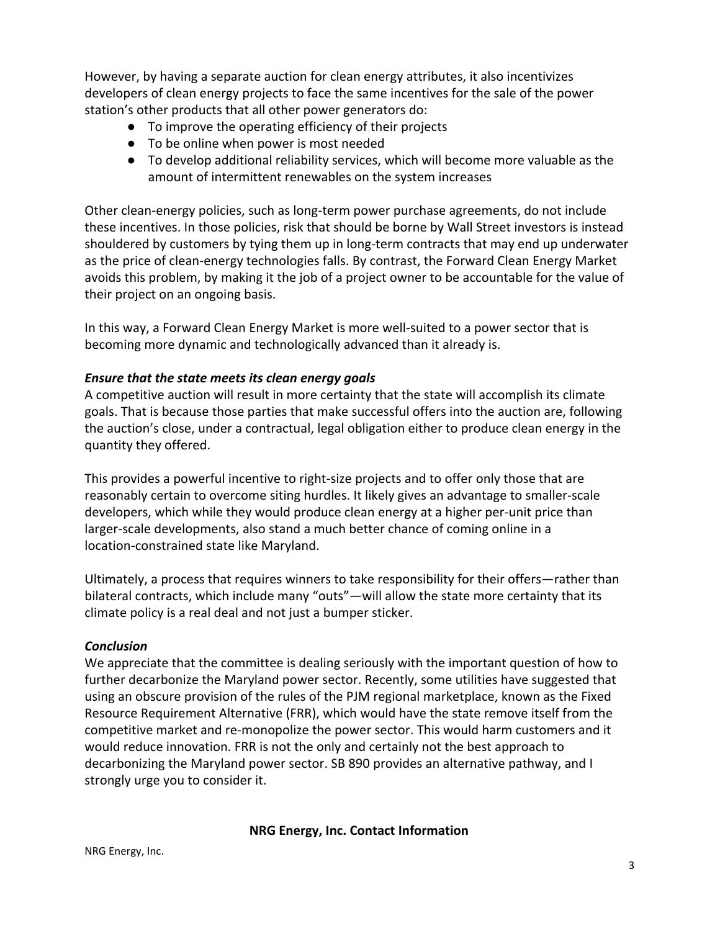However, by having a separate auction for clean energy attributes, it also incentivizes developers of clean energy projects to face the same incentives for the sale of the power station's other products that all other power generators do:

- To improve the operating efficiency of their projects
- To be online when power is most needed
- To develop additional reliability services, which will become more valuable as the amount of intermittent renewables on the system increases

Other clean-energy policies, such as long-term power purchase agreements, do not include these incentives. In those policies, risk that should be borne by Wall Street investors is instead shouldered by customers by tying them up in long-term contracts that may end up underwater as the price of clean-energy technologies falls. By contrast, the Forward Clean Energy Market avoids this problem, by making it the job of a project owner to be accountable for the value of their project on an ongoing basis.

In this way, a Forward Clean Energy Market is more well-suited to a power sector that is becoming more dynamic and technologically advanced than it already is.

## *Ensure that the state meets its clean energy goals*

A competitive auction will result in more certainty that the state will accomplish its climate goals. That is because those parties that make successful offers into the auction are, following the auction's close, under a contractual, legal obligation either to produce clean energy in the quantity they offered.

This provides a powerful incentive to right-size projects and to offer only those that are reasonably certain to overcome siting hurdles. It likely gives an advantage to smaller-scale developers, which while they would produce clean energy at a higher per-unit price than larger-scale developments, also stand a much better chance of coming online in a location-constrained state like Maryland.

Ultimately, a process that requires winners to take responsibility for their offers—rather than bilateral contracts, which include many "outs"—will allow the state more certainty that its climate policy is a real deal and not just a bumper sticker.

#### *Conclusion*

We appreciate that the committee is dealing seriously with the important question of how to further decarbonize the Maryland power sector. Recently, some utilities have suggested that using an obscure provision of the rules of the PJM regional marketplace, known as the Fixed Resource Requirement Alternative (FRR), which would have the state remove itself from the competitive market and re-monopolize the power sector. This would harm customers and it would reduce innovation. FRR is not the only and certainly not the best approach to decarbonizing the Maryland power sector. SB 890 provides an alternative pathway, and I strongly urge you to consider it.

#### **NRG Energy, Inc. Contact Information**